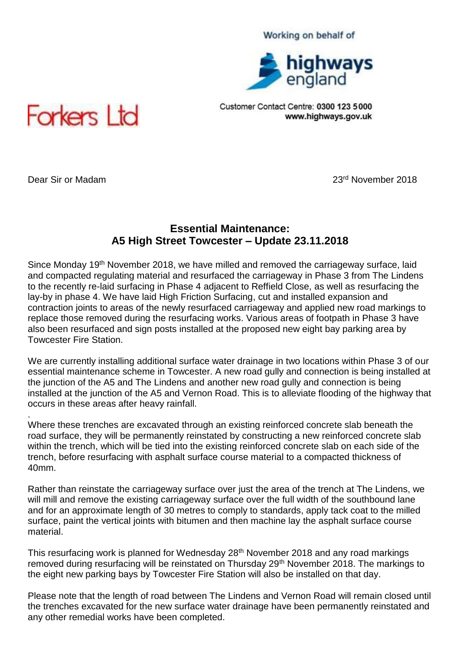### Working on behalf of



Customer Contact Centre: 0300 123 5000 www.highways.gov.uk



.

Dear Sir or Madam 23rd November 2018

## **Essential Maintenance: A5 High Street Towcester – Update 23.11.2018**

Since Monday 19<sup>th</sup> November 2018, we have milled and removed the carriageway surface, laid and compacted regulating material and resurfaced the carriageway in Phase 3 from The Lindens to the recently re-laid surfacing in Phase 4 adjacent to Reffield Close, as well as resurfacing the lay-by in phase 4. We have laid High Friction Surfacing, cut and installed expansion and contraction joints to areas of the newly resurfaced carriageway and applied new road markings to replace those removed during the resurfacing works. Various areas of footpath in Phase 3 have also been resurfaced and sign posts installed at the proposed new eight bay parking area by Towcester Fire Station.

We are currently installing additional surface water drainage in two locations within Phase 3 of our essential maintenance scheme in Towcester. A new road gully and connection is being installed at the junction of the A5 and The Lindens and another new road gully and connection is being installed at the junction of the A5 and Vernon Road. This is to alleviate flooding of the highway that occurs in these areas after heavy rainfall.

Where these trenches are excavated through an existing reinforced concrete slab beneath the road surface, they will be permanently reinstated by constructing a new reinforced concrete slab within the trench, which will be tied into the existing reinforced concrete slab on each side of the trench, before resurfacing with asphalt surface course material to a compacted thickness of 40mm.

Rather than reinstate the carriageway surface over just the area of the trench at The Lindens, we will mill and remove the existing carriageway surface over the full width of the southbound lane and for an approximate length of 30 metres to comply to standards, apply tack coat to the milled surface, paint the vertical joints with bitumen and then machine lay the asphalt surface course material.

This resurfacing work is planned for Wednesday 28th November 2018 and any road markings removed during resurfacing will be reinstated on Thursday 29<sup>th</sup> November 2018. The markings to the eight new parking bays by Towcester Fire Station will also be installed on that day.

Please note that the length of road between The Lindens and Vernon Road will remain closed until the trenches excavated for the new surface water drainage have been permanently reinstated and any other remedial works have been completed.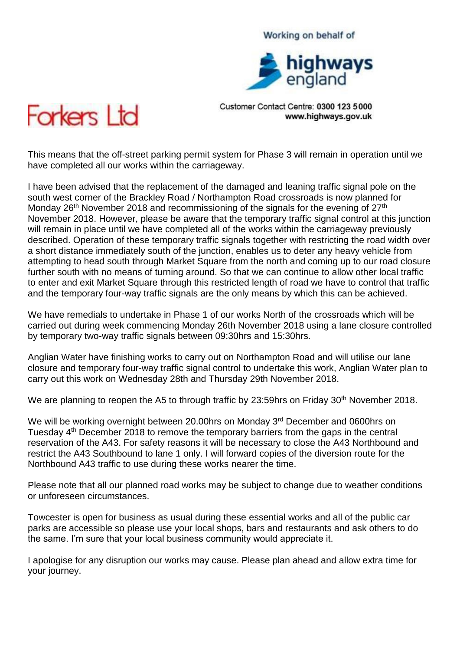# highways

Working on behalf of

Customer Contact Centre: 0300 123 5000 www.highways.gov.uk



This means that the off-street parking permit system for Phase 3 will remain in operation until we have completed all our works within the carriageway.

I have been advised that the replacement of the damaged and leaning traffic signal pole on the south west corner of the Brackley Road / Northampton Road crossroads is now planned for Monday 26<sup>th</sup> November 2018 and recommissioning of the signals for the evening of 27<sup>th</sup> November 2018. However, please be aware that the temporary traffic signal control at this junction will remain in place until we have completed all of the works within the carriageway previously described. Operation of these temporary traffic signals together with restricting the road width over a short distance immediately south of the junction, enables us to deter any heavy vehicle from attempting to head south through Market Square from the north and coming up to our road closure further south with no means of turning around. So that we can continue to allow other local traffic to enter and exit Market Square through this restricted length of road we have to control that traffic and the temporary four-way traffic signals are the only means by which this can be achieved.

We have remedials to undertake in Phase 1 of our works North of the crossroads which will be carried out during week commencing Monday 26th November 2018 using a lane closure controlled by temporary two-way traffic signals between 09:30hrs and 15:30hrs.

Anglian Water have finishing works to carry out on Northampton Road and will utilise our lane closure and temporary four-way traffic signal control to undertake this work, Anglian Water plan to carry out this work on Wednesday 28th and Thursday 29th November 2018.

We are planning to reopen the A5 to through traffic by 23:59hrs on Friday 30<sup>th</sup> November 2018.

We will be working overnight between 20.00hrs on Monday 3<sup>rd</sup> December and 0600hrs on Tuesday  $4<sup>th</sup>$  December 2018 to remove the temporary barriers from the gaps in the central reservation of the A43. For safety reasons it will be necessary to close the A43 Northbound and restrict the A43 Southbound to lane 1 only. I will forward copies of the diversion route for the Northbound A43 traffic to use during these works nearer the time.

Please note that all our planned road works may be subject to change due to weather conditions or unforeseen circumstances.

Towcester is open for business as usual during these essential works and all of the public car parks are accessible so please use your local shops, bars and restaurants and ask others to do the same. I'm sure that your local business community would appreciate it.

I apologise for any disruption our works may cause. Please plan ahead and allow extra time for your journey.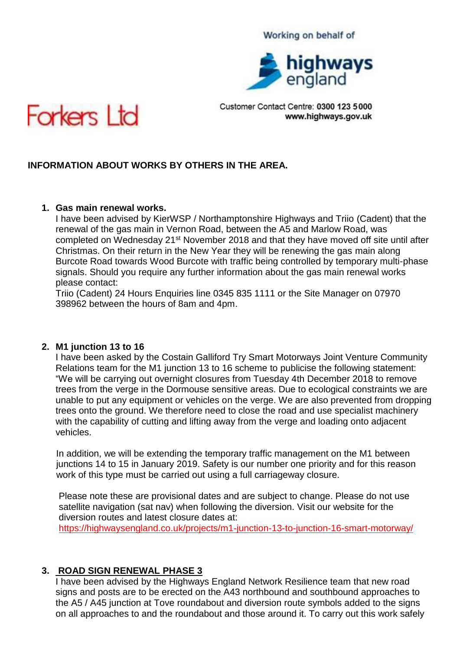#### Working on behalf of



Customer Contact Centre: 0300 123 5000 www.highways.gov.uk



## **INFORMATION ABOUT WORKS BY OTHERS IN THE AREA.**

## **1. Gas main renewal works.**

I have been advised by KierWSP / Northamptonshire Highways and Triio (Cadent) that the renewal of the gas main in Vernon Road, between the A5 and Marlow Road, was completed on Wednesday 21<sup>st</sup> November 2018 and that they have moved off site until after Christmas. On their return in the New Year they will be renewing the gas main along Burcote Road towards Wood Burcote with traffic being controlled by temporary multi-phase signals. Should you require any further information about the gas main renewal works please contact:

Triio (Cadent) 24 Hours Enquiries line 0345 835 1111 or the Site Manager on 07970 398962 between the hours of 8am and 4pm.

#### **2. M1 junction 13 to 16**

I have been asked by the Costain Galliford Try Smart Motorways Joint Venture Community Relations team for the M1 junction 13 to 16 scheme to publicise the following statement: "We will be carrying out overnight closures from Tuesday 4th December 2018 to remove trees from the verge in the Dormouse sensitive areas. Due to ecological constraints we are unable to put any equipment or vehicles on the verge. We are also prevented from dropping trees onto the ground. We therefore need to close the road and use specialist machinery with the capability of cutting and lifting away from the verge and loading onto adjacent vehicles.

 In addition, we will be extending the temporary traffic management on the M1 between junctions 14 to 15 in January 2019. Safety is our number one priority and for this reason work of this type must be carried out using a full carriageway closure.

 Please note these are provisional dates and are subject to change. Please do not use satellite navigation (sat nav) when following the diversion. Visit our website for the diversion routes and latest closure dates at: <https://highwaysengland.co.uk/projects/m1-junction-13-to-junction-16-smart-motorway/>

#### **3. ROAD SIGN RENEWAL PHASE 3**

I have been advised by the Highways England Network Resilience team that new road signs and posts are to be erected on the A43 northbound and southbound approaches to the A5 / A45 junction at Tove roundabout and diversion route symbols added to the signs on all approaches to and the roundabout and those around it. To carry out this work safely